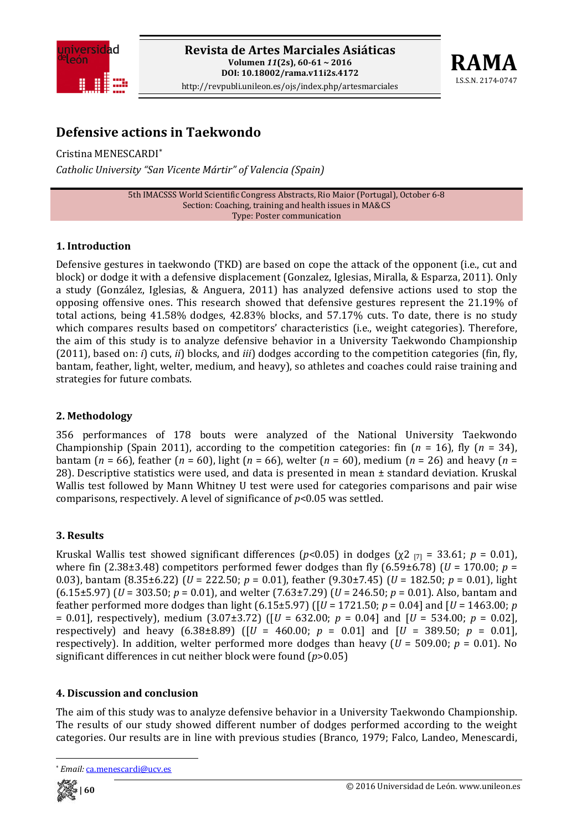



# **Defensive actions in Taekwondo**

Cristina MENESCARDI\* *Catholic University "San Vicente Mártir" of Valencia (Spain)*

> 5th IMACSSS World Scientific Congress Abstracts, Rio Maior (Portugal), October 6‐8 Section: Coaching, training and health issues in MA&CS Type: Poster communication

## **1. Introduction**

Defensive gestures in taekwondo (TKD) are based on cope the attack of the opponent (i.e., cut and block) or dodge it with a defensive displacement (Gonzalez, Iglesias, Miralla, & Esparza, 2011). Only a study (González, Iglesias, & Anguera, 2011) has analyzed defensive actions used to stop the opposing offensive ones. This research showed that defensive gestures represent the 21.19% of total actions, being 41.58% dodges, 42.83% blocks, and 57.17% cuts. To date, there is no study which compares results based on competitors' characteristics (i.e., weight categories). Therefore, the aim of this study is to analyze defensive behavior in a University Taekwondo Championship (2011), based on: *i*) cuts, *ii*) blocks, and *iii*) dodges according to the competition categories (fin, fly, bantam, feather, light, welter, medium, and heavy), so athletes and coaches could raise training and strategies for future combats.

## **2. Methodology**

356 performances of 178 bouts were analyzed of the National University Taekwondo Championship (Spain 2011), according to the competition categories: fin  $(n = 16)$ , fly  $(n = 34)$ , bantam (*n* = 66), feather (*n* = 60), light (*n* = 66), welter (*n* = 60), medium (*n* = 26) and heavy (*n* = 28). Descriptive statistics were used, and data is presented in mean  $\pm$  standard deviation. Kruskal Wallis test followed by Mann Whitney U test were used for categories comparisons and pair wise comparisons, respectively. A level of significance of *p*<0.05 was settled.

## **3. Results**

Kruskal Wallis test showed significant differences  $(p<0.05)$  in dodges  $(\chi^2)_{[7]} = 33.61$ ;  $p = 0.01$ ), where fin (2.38 $\pm$ 3.48) competitors performed fewer dodges than fly (6.59 $\pm$ 6.78) (*U* = 170.00; *p* = 0.03), bantam (8.35±6.22) (*U* = 222.50; *p* = 0.01), feather (9.30±7.45) (*U* = 182.50; *p* = 0.01), light (6.15±5.97) (*U* = 303.50; *p* = 0.01), and welter (7.63±7.29) (*U* = 246.50; *p* = 0.01). Also, bantam and feather performed more dodges than light (6.15±5.97) ( $[U = 1721.50; p = 0.04]$  and  $[U = 1463.00; p$ = 0.01], respectively), medium (3.07±3.72) ( $[U = 632.00; p = 0.04]$  and  $[U = 534.00; p = 0.02]$ , respectively) and heavy  $(6.38\pm8.89)$  ( $[U = 460.00; p = 0.01]$  and  $[U = 389.50; p = 0.01]$ , respectively). In addition, welter performed more dodges than heavy  $(U = 509.00; p = 0.01)$ . No significant differences in cut neither block were found (*p*>0.05)

## **4. Discussion and conclusion**

The aim of this study was to analyze defensive behavior in a University Taekwondo Championship. The results of our study showed different number of dodges performed according to the weight categories. Our results are in line with previous studies (Branco, 1979; Falco, Landeo, Menescardi,

Email: ca.menescardi@ucv.es